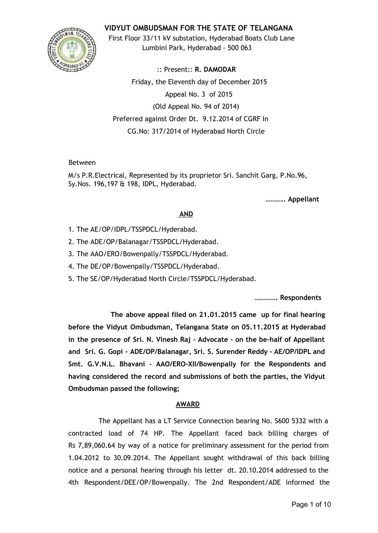

**VIDYUT OMBUDSMAN FOR THE STATE OF TELANGANA**

First Floor 33/11 kV substation, Hyderabad Boats Club Lane Lumbini Park, Hyderabad - 500 063

:: Present:: **R. DAMODAR** Friday, the Eleventh day of December 2015 Appeal No. 3 of 2015 (Old Appeal No. 94 of 2014) Preferred against Order Dt. 9.12.2014 of CGRF In CG.No: 317/2014 of Hyderabad North Circle

## Between

M/s P.R.Electrical, Represented by its proprietor Sri. Sanchit Garg, P.No.96, Sy.Nos. 196,197 & 198, IDPL, Hyderabad.

**……….. Appellant**

## **AND**

- 1. The AE/OP/IDPL/TSSPDCL/Hyderabad.
- 2. The ADE/OP/Balanagar/TSSPDCL/Hyderabad.
- 3. The AAO/ERO/Bowenpally/TSSPDCL/Hyderabad.
- 4. The DE/OP/Bowenpally/TSSPDCL/Hyderabad.
- 5. The SE/OP/Hyderabad North Circle/TSSPDCL/Hyderabad.

**…………. Respondents**

**The above appeal filed on 21.01.2015 came up for final hearing before the Vidyut Ombudsman, Telangana State on 05.11.2015 at Hyderabad in the presence of Sri. N. Vinesh Raj - Advocate - on the be-half of Appellant and Sri. G. Gopi - ADE/OP/Balanagar, Sri. S. Surender Reddy - AE/OP/IDPL and Smt. G.V.N.L. Bhavani - AAO/ERO-XII/Bowenpally for the Respondents and having considered the record and submissions of both the parties, the Vidyut Ombudsman passed the following;**

## **AWARD**

The Appellant has a LT Service Connection bearing No. S600 5332 with a contracted load of 74 HP. The Appellant faced back billing charges of Rs 7,89,060.64 by way of a notice for preliminary assessment for the period from 1.04.2012 to 30.09.2014. The Appellant sought withdrawal of this back billing notice and a personal hearing through his letter dt. 20.10.2014 addressed to the 4th Respondent/DEE/OP/Bowenpally. The 2nd Respondent/ADE informed the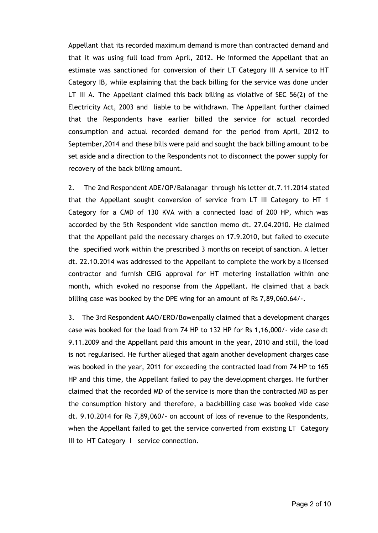Appellant that its recorded maximum demand is more than contracted demand and that it was using full load from April, 2012. He informed the Appellant that an estimate was sanctioned for conversion of their LT Category III A service to HT Category IB, while explaining that the back billing for the service was done under LT III A. The Appellant claimed this back billing as violative of SEC 56(2) of the Electricity Act, 2003 and liable to be withdrawn. The Appellant further claimed that the Respondents have earlier billed the service for actual recorded consumption and actual recorded demand for the period from April, 2012 to September,2014 and these bills were paid and sought the back billing amount to be set aside and a direction to the Respondents not to disconnect the power supply for recovery of the back billing amount.

2. The 2nd Respondent ADE/OP/Balanagar through his letter dt.7.11.2014 stated that the Appellant sought conversion of service from LT III Category to HT 1 Category for a CMD of 130 KVA with a connected load of 200 HP, which was accorded by the 5th Respondent vide sanction memo dt. 27.04.2010. He claimed that the Appellant paid the necessary charges on 17.9.2010, but failed to execute the specified work within the prescribed 3 months on receipt of sanction. A letter dt. 22.10.2014 was addressed to the Appellant to complete the work by a licensed contractor and furnish CEIG approval for HT metering installation within one month, which evoked no response from the Appellant. He claimed that a back billing case was booked by the DPE wing for an amount of Rs 7,89,060.64/-.

3. The 3rd Respondent AAO/ERO/Bowenpally claimed that a development charges case was booked for the load from 74 HP to 132 HP for Rs 1,16,000/- vide case dt 9.11.2009 and the Appellant paid this amount in the year, 2010 and still, the load is not regularised. He further alleged that again another development charges case was booked in the year, 2011 for exceeding the contracted load from 74 HP to 165 HP and this time, the Appellant failed to pay the development charges. He further claimed that the recorded MD of the service is more than the contracted MD as per the consumption history and therefore, a backbilling case was booked vide case dt. 9.10.2014 for Rs 7,89,060/- on account of loss of revenue to the Respondents, when the Appellant failed to get the service converted from existing LT Category III to HT Category I service connection.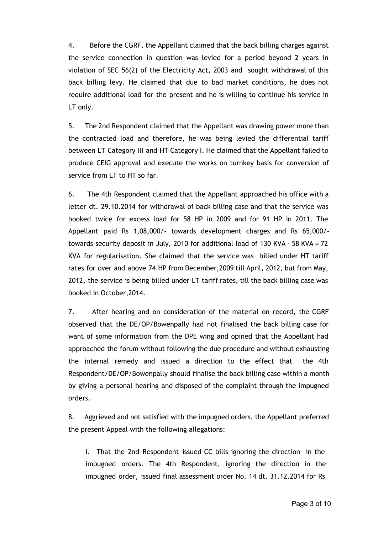4. Before the CGRF, the Appellant claimed that the back billing charges against the service connection in question was levied for a period beyond 2 years in violation of SEC 56(2) of the Electricity Act, 2003 and sought withdrawal of this back billing levy. He claimed that due to bad market conditions, he does not require additional load for the present and he is willing to continue his service in LT only.

5. The 2nd Respondent claimed that the Appellant was drawing power more than the contracted load and therefore, he was being levied the differential tariff between LT Category III and HT Category I. He claimed that the Appellant failed to produce CEIG approval and execute the works on turnkey basis for conversion of service from LT to HT so far.

6. The 4th Respondent claimed that the Appellant approached his office with a letter dt. 29.10.2014 for withdrawal of back billing case and that the service was booked twice for excess load for 58 HP in 2009 and for 91 HP in 2011. The Appellant paid Rs 1,08,000/- towards development charges and Rs 65,000/ towards security deposit in July, 2010 for additional load of 130 KVA - 58 KVA = 72 KVA for regularisation. She claimed that the service was billed under HT tariff rates for over and above 74 HP from December,2009 till April, 2012, but from May, 2012, the service is being billed under LT tariff rates, till the back billing case was booked in October,2014.

7. After hearing and on consideration of the material on record, the CGRF observed that the DE/OP/Bowenpally had not finalised the back billing case for want of some information from the DPE wing and opined that the Appellant had approached the forum without following the due procedure and without exhausting the internal remedy and issued a direction to the effect that the 4th Respondent/DE/OP/Bowenpally should finalise the back billing case within a month by giving a personal hearing and disposed of the complaint through the impugned orders.

8. Aggrieved and not satisfied with the impugned orders, the Appellant preferred the present Appeal with the following allegations:

i. That the 2nd Respondent issued CC bills ignoring the direction in the impugned orders. The 4th Respondent, ignoring the direction in the impugned order, issued final assessment order No. 14 dt. 31.12.2014 for Rs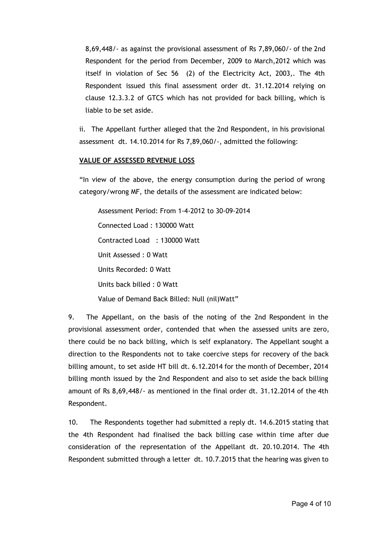8,69,448/- as against the provisional assessment of Rs 7,89,060/- of the 2nd Respondent for the period from December, 2009 to March,2012 which was itself in violation of Sec 56 (2) of the Electricity Act, 2003,. The 4th Respondent issued this final assessment order dt. 31.12.2014 relying on clause 12.3.3.2 of GTCS which has not provided for back billing, which is liable to be set aside.

ii. The Appellant further alleged that the 2nd Respondent, in his provisional assessment dt. 14.10.2014 for Rs 7,89,060/-, admitted the following:

## **VALUE OF ASSESSED REVENUE LOSS**

"In view of the above, the energy consumption during the period of wrong category/wrong MF, the details of the assessment are indicated below:

Assessment Period: From 1-4-2012 to 30-09-2014 Connected Load : 130000 Watt Contracted Load : 130000 Watt Unit Assessed : 0 Watt Units Recorded: 0 Watt Units back billed : 0 Watt Value of Demand Back Billed: Null (nil)Watt"

9. The Appellant, on the basis of the noting of the 2nd Respondent in the provisional assessment order, contended that when the assessed units are zero, there could be no back billing, which is self explanatory. The Appellant sought a direction to the Respondents not to take coercive steps for recovery of the back billing amount, to set aside HT bill dt. 6.12.2014 for the month of December, 2014 billing month issued by the 2nd Respondent and also to set aside the back billing amount of Rs 8,69,448/- as mentioned in the final order dt. 31.12.2014 of the 4th Respondent.

10. The Respondents together had submitted a reply dt. 14.6.2015 stating that the 4th Respondent had finalised the back billing case within time after due consideration of the representation of the Appellant dt. 20.10.2014. The 4th Respondent submitted through a letter dt. 10.7.2015 that the hearing was given to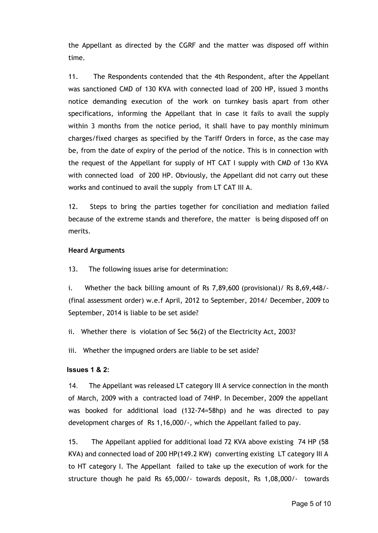the Appellant as directed by the CGRF and the matter was disposed off within time.

11. The Respondents contended that the 4th Respondent, after the Appellant was sanctioned CMD of 130 KVA with connected load of 200 HP, issued 3 months notice demanding execution of the work on turnkey basis apart from other specifications, informing the Appellant that in case it fails to avail the supply within 3 months from the notice period, it shall have to pay monthly minimum charges/fixed charges as specified by the Tariff Orders in force, as the case may be, from the date of expiry of the period of the notice. This is in connection with the request of the Appellant for supply of HT CAT I supply with CMD of 13o KVA with connected load of 200 HP. Obviously, the Appellant did not carry out these works and continued to avail the supply from LT CAT III A.

12. Steps to bring the parties together for conciliation and mediation failed because of the extreme stands and therefore, the matter is being disposed off on merits.

#### **Heard Arguments**

13. The following issues arise for determination:

i. Whether the back billing amount of Rs 7,89,600 (provisional)/ Rs 8,69,448/- (final assessment order) w.e.f April, 2012 to September, 2014/ December, 2009 to September, 2014 is liable to be set aside?

ii. Whether there is violation of Sec 56(2) of the Electricity Act, 2003?

iii. Whether the impugned orders are liable to be set aside?

#### **Issues 1 & 2:**

14. The Appellant was released LT category III A service connection in the month of March, 2009 with a contracted load of 74HP. In December, 2009 the appellant was booked for additional load (132-74=58hp) and he was directed to pay development charges of Rs 1,16,000/-, which the Appellant failed to pay.

15. The Appellant applied for additional load 72 KVA above existing 74 HP (58 KVA) and connected load of 200 HP(149.2 KW) converting existing LT category III A to HT category I. The Appellant failed to take up the execution of work for the structure though he paid Rs 65,000/- towards deposit, Rs 1,08,000/- towards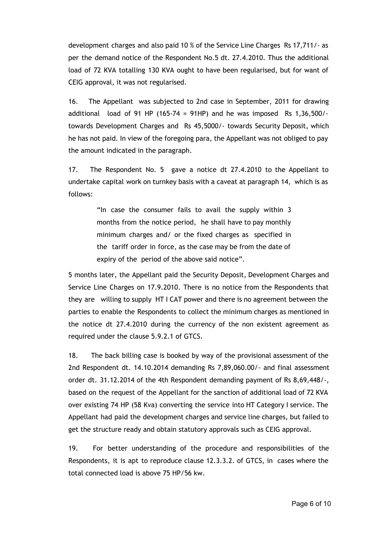development charges and also paid 10 % of the Service Line Charges Rs 17,711/- as per the demand notice of the Respondent No.5 dt. 27.4.2010. Thus the additional load of 72 KVA totalling 130 KVA ought to have been regularised, but for want of CEIG approval, it was not regularised.

16. The Appellant was subjected to 2nd case in September, 2011 for drawing additional load of 91 HP (165-74 = 91HP) and he was imposed Rs  $1.36,500/$ towards Development Charges and Rs 45,5000/- towards Security Deposit, which he has not paid. In view of the foregoing para, the Appellant was not obliged to pay the amount indicated in the paragraph.

17. The Respondent No. 5 gave a notice dt 27.4.2010 to the Appellant to undertake capital work on turnkey basis with a caveat at paragraph 14, which is as follows:

> "In case the consumer fails to avail the supply within 3 months from the notice period, he shall have to pay monthly minimum charges and/ or the fixed charges as specified in the tariff order in force, as the case may be from the date of expiry of the period of the above said notice".

5 months later, the Appellant paid the Security Deposit, Development Charges and Service Line Charges on 17.9.2010. There is no notice from the Respondents that they are willing to supply HT I CAT power and there is no agreement between the parties to enable the Respondents to collect the minimum charges as mentioned in the notice dt 27.4.2010 during the currency of the non existent agreement as required under the clause 5.9.2.1 of GTCS.

18. The back billing case is booked by way of the provisional assessment of the 2nd Respondent dt. 14.10.2014 demanding Rs 7,89,060.00/- and final assessment order dt. 31.12.2014 of the 4th Respondent demanding payment of Rs 8,69,448/-, based on the request of the Appellant for the sanction of additional load of 72 KVA over existing 74 HP (58 Kva) converting the service into HT Category I service. The Appellant had paid the development charges and service line charges, but failed to get the structure ready and obtain statutory approvals such as CEIG approval.

19. For better understanding of the procedure and responsibilities of the Respondents, it is apt to reproduce clause 12.3.3.2. of GTCS, in cases where the total connected load is above 75 HP/56 kw.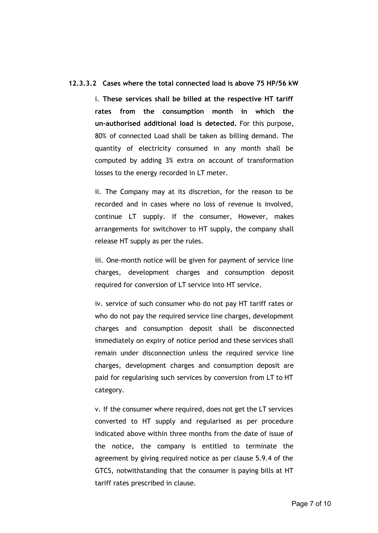#### **12.3.3.2 Cases where the total connected load is above 75 HP/56 kW**

i. **These services shall be billed at the respective HT tariff rates from the consumption month in which the un-authorised additional load is detected.** For this purpose, 80% of connected Load shall be taken as billing demand. The quantity of electricity consumed in any month shall be computed by adding 3% extra on account of transformation losses to the energy recorded in LT meter.

ii. The Company may at its discretion, for the reason to be recorded and in cases where no loss of revenue is involved, continue LT supply. If the consumer, However, makes arrangements for switchover to HT supply, the company shall release HT supply as per the rules.

iii. One-month notice will be given for payment of service line charges, development charges and consumption deposit required for conversion of LT service into HT service.

iv. service of such consumer who do not pay HT tariff rates or who do not pay the required service line charges, development charges and consumption deposit shall be disconnected immediately on expiry of notice period and these services shall remain under disconnection unless the required service line charges, development charges and consumption deposit are paid for regularising such services by conversion from LT to HT category.

v. If the consumer where required, does not get the LT services converted to HT supply and regularised as per procedure indicated above within three months from the date of issue of the notice, the company is entitled to terminate the agreement by giving required notice as per clause 5.9.4 of the GTCS, notwithstanding that the consumer is paying bills at HT tariff rates prescribed in clause.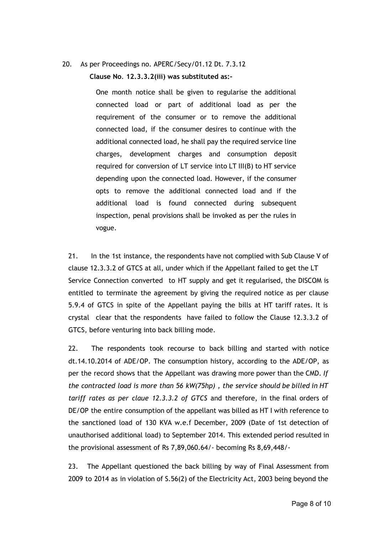## 20. As per Proceedings no. APERC/Secy/01.12 Dt. 7.3.12

**Clause No**. **12.3.3.2(iii) was substituted as:-**

One month notice shall be given to regularise the additional connected load or part of additional load as per the requirement of the consumer or to remove the additional connected load, if the consumer desires to continue with the additional connected load, he shall pay the required service line charges, development charges and consumption deposit required for conversion of LT service into LT III(B) to HT service depending upon the connected load. However, if the consumer opts to remove the additional connected load and if the additional load is found connected during subsequent inspection, penal provisions shall be invoked as per the rules in vogue.

21. In the 1st instance, the respondents have not complied with Sub Clause V of clause 12.3.3.2 of GTCS at all, under which if the Appellant failed to get the LT Service Connection converted to HT supply and get it regularised, the DISCOM is entitled to terminate the agreement by giving the required notice as per clause 5.9.4 of GTCS in spite of the Appellant paying the bills at HT tariff rates. It is crystal clear that the respondents have failed to follow the Clause 12.3.3.2 of GTCS, before venturing into back billing mode.

22. The respondents took recourse to back billing and started with notice dt.14.10.2014 of ADE/OP. The consumption history, according to the ADE/OP, as per the record shows that the Appellant was drawing more power than the CMD. *If the contracted load is more than 56 kW(75hp) , the service should be billed in HT tariff rates as per claue 12.3.3.2 of GTCS* and therefore, in the final orders of DE/OP the entire consumption of the appellant was billed as HT I with reference to the sanctioned load of 130 KVA w.e.f December, 2009 (Date of 1st detection of unauthorised additional load) to September 2014. This extended period resulted in the provisional assessment of Rs 7,89,060.64/- becoming Rs 8,69,448/-

23. The Appellant questioned the back billing by way of Final Assessment from 2009 to 2014 as in violation of S.56(2) of the Electricity Act, 2003 being beyond the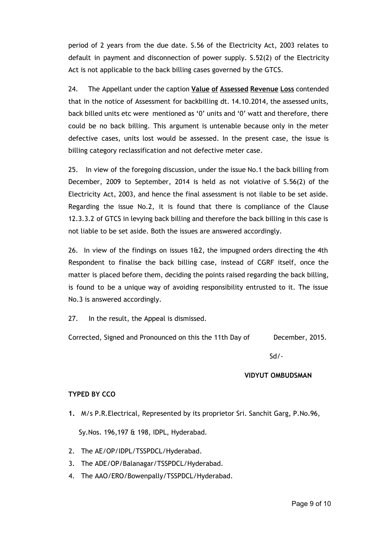period of 2 years from the due date. S.56 of the Electricity Act, 2003 relates to default in payment and disconnection of power supply. S.52(2) of the Electricity Act is not applicable to the back billing cases governed by the GTCS.

24. The Appellant under the caption **Value of Assessed Revenue Loss** contended that in the notice of Assessment for backbilling dt. 14.10.2014, the assessed units, back billed units etc were mentioned as '0' units and '0' watt and therefore, there could be no back billing. This argument is untenable because only in the meter defective cases, units lost would be assessed. In the present case, the issue is billing category reclassification and not defective meter case.

25. In view of the foregoing discussion, under the issue No.1 the back billing from December, 2009 to September, 2014 is held as not violative of S.56(2) of the Electricity Act, 2003, and hence the final assessment is not ilable to be set aside. Regarding the issue No.2, it is found that there is compliance of the Clause 12.3.3.2 of GTCS in levying back billing and therefore the back billing in this case is not liable to be set aside. Both the issues are answered accordingly.

26. In view of the findings on issues  $162$ , the impugned orders directing the 4th Respondent to finalise the back billing case, instead of CGRF itself, once the matter is placed before them, deciding the points raised regarding the back billing, is found to be a unique way of avoiding responsibility entrusted to it. The issue No.3 is answered accordingly.

27. In the result, the Appeal is dismissed.

Corrected, Signed and Pronounced on this the 11th Day of December, 2015.

Sd/-

## **VIDYUT OMBUDSMAN**

## **TYPED BY CCO**

- **1.** M/s P.R.Electrical, Represented by its proprietor Sri. Sanchit Garg, P.No.96, Sy.Nos. 196,197 & 198, IDPL, Hyderabad.
- 2. The AE/OP/IDPL/TSSPDCL/Hyderabad.
- 3. The ADE/OP/Balanagar/TSSPDCL/Hyderabad.
- 4. The AAO/ERO/Bowenpally/TSSPDCL/Hyderabad.